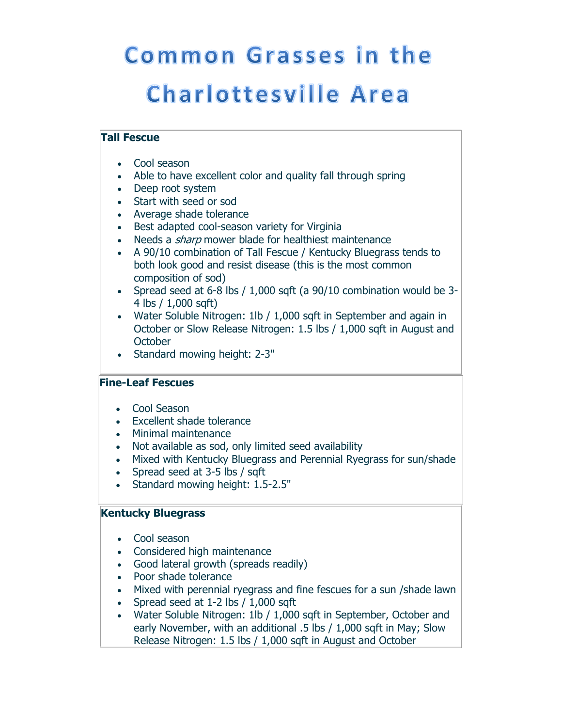# **Common Grasses in the Charlottesville Area**

# **Tall Fescue**

- Cool season
- Able to have excellent color and quality fall through spring
- Deep root system
- Start with seed or sod
- Average shade tolerance
- Best adapted cool-season variety for Virginia
- Needs a *sharp* mower blade for healthiest maintenance
- A 90/10 combination of Tall Fescue / Kentucky Bluegrass tends to both look good and resist disease (this is the most common composition of sod)
- Spread seed at 6-8 lbs / 1,000 sqft (a 90/10 combination would be 3- 4 lbs / 1,000 sqft)
- Water Soluble Nitrogen: 1lb / 1,000 sqft in September and again in October or Slow Release Nitrogen: 1.5 lbs / 1,000 sqft in August and **October**
- Standard mowing height: 2-3"

## **Fine-Leaf Fescues**

- Cool Season
- Excellent shade tolerance
- Minimal maintenance
- Not available as sod, only limited seed availability
- Mixed with Kentucky Bluegrass and Perennial Ryegrass for sun/shade
- Spread seed at 3-5 lbs / sqft
- Standard mowing height: 1.5-2.5"

## **Kentucky Bluegrass**

- Cool season
- Considered high maintenance
- Good lateral growth (spreads readily)
- Poor shade tolerance
- Mixed with perennial ryegrass and fine fescues for a sun /shade lawn
- Spread seed at 1-2 lbs / 1,000 sqft
- Water Soluble Nitrogen: 1lb / 1,000 sqft in September, October and early November, with an additional .5 lbs / 1,000 sqft in May; Slow Release Nitrogen: 1.5 lbs / 1,000 sqft in August and October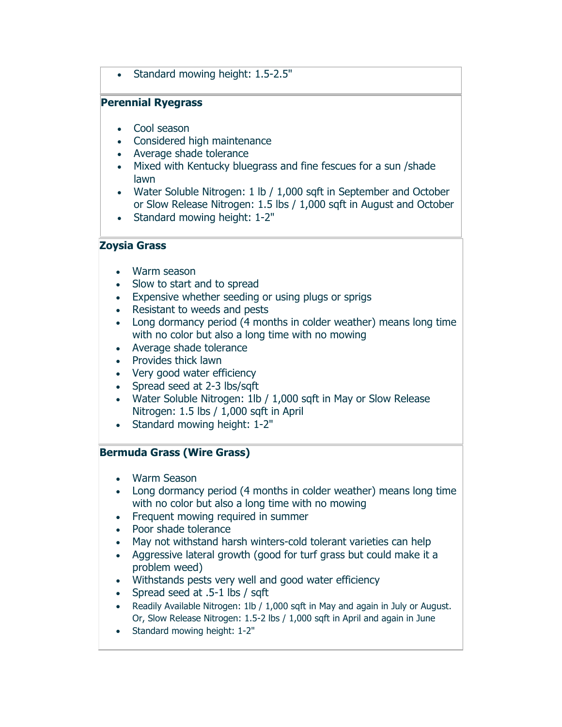• Standard mowing height: 1.5-2.5"

#### **Perennial Ryegrass**

- Cool season
- Considered high maintenance
- Average shade tolerance
- Mixed with Kentucky bluegrass and fine fescues for a sun /shade lawn
- Water Soluble Nitrogen: 1 lb / 1,000 sqft in September and October or Slow Release Nitrogen: 1.5 lbs / 1,000 sqft in August and October
- Standard mowing height: 1-2"

#### **Zoysia Grass**

- Warm season
- Slow to start and to spread
- Expensive whether seeding or using plugs or sprigs
- Resistant to weeds and pests
- Long dormancy period (4 months in colder weather) means long time with no color but also a long time with no mowing
- Average shade tolerance
- Provides thick lawn
- Very good water efficiency
- Spread seed at 2-3 lbs/sqft
- Water Soluble Nitrogen: 1lb / 1,000 sqft in May or Slow Release Nitrogen: 1.5 lbs / 1,000 sqft in April
- Standard mowing height: 1-2"

## **Bermuda Grass (Wire Grass)**

- Warm Season
- Long dormancy period (4 months in colder weather) means long time with no color but also a long time with no mowing
- Frequent mowing required in summer
- Poor shade tolerance
- May not withstand harsh winters-cold tolerant varieties can help
- Aggressive lateral growth (good for turf grass but could make it a problem weed)
- Withstands pests very well and good water efficiency
- Spread seed at .5-1 lbs / sqft
- Readily Available Nitrogen: 1lb / 1,000 sqft in May and again in July or August. Or, Slow Release Nitrogen: 1.5-2 lbs / 1,000 sqft in April and again in June
- Standard mowing height: 1-2"